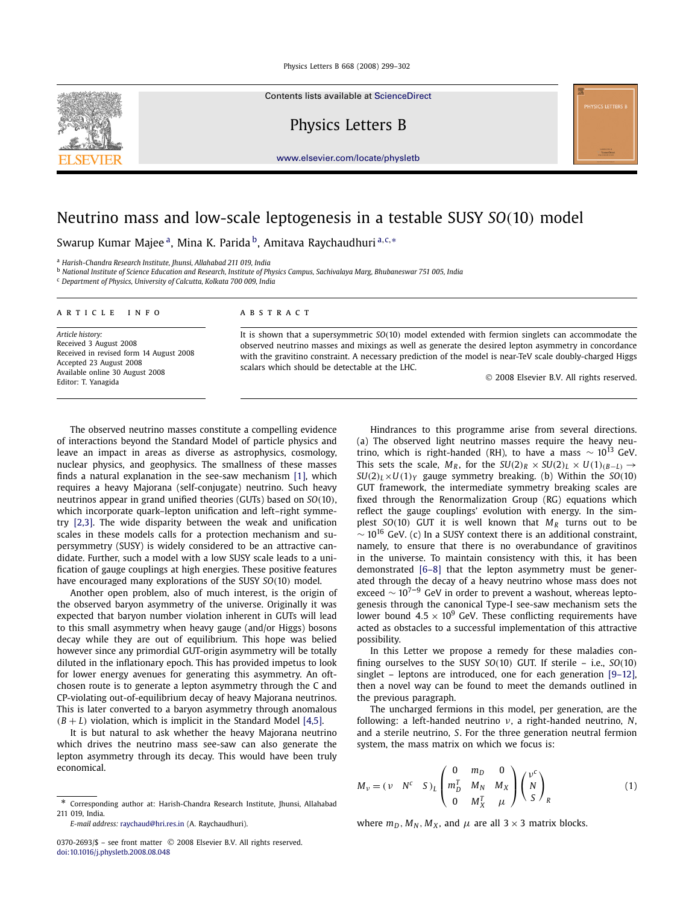Contents lists available at [ScienceDirect](http://www.ScienceDirect.com/)

Physics Letters B

[www.elsevier.com/locate/physletb](http://www.elsevier.com/locate/physletb)

# Neutrino mass and low-scale leptogenesis in a testable SUSY *SO(*10*)* model

Swarup Kumar Majee a, Mina K. Parida b, Amitava Raychaudhuri <sup>a</sup>*,*c*,*<sup>∗</sup>

<sup>a</sup> *Harish-Chandra Research Institute, Jhunsi, Allahabad 211 019, India*

<sup>b</sup> *National Institute of Science Education and Research, Institute of Physics Campus, Sachivalaya Marg, Bhubaneswar 751 005, India*

<sup>c</sup> *Department of Physics, University of Calcutta, Kolkata 700 009, India*

### article info abstract

*Article history:* Received 3 August 2008 Received in revised form 14 August 2008 Accepted 23 August 2008 Available online 30 August 2008 Editor: T. Yanagida

It is shown that a supersymmetric *SO(*10*)* model extended with fermion singlets can accommodate the observed neutrino masses and mixings as well as generate the desired lepton asymmetry in concordance with the gravitino constraint. A necessary prediction of the model is near-TeV scale doubly-charged Higgs scalars which should be detectable at the LHC.

possibility.

the previous paragraph.

© 2008 Elsevier B.V. All rights reserved.

Hindrances to this programme arise from several directions. (a) The observed light neutrino masses require the heavy neutrino, which is right-handed (RH), to have a mass  $\sim 10^{13}$  GeV. This sets the scale,  $M_R$ , for the  $SU(2)_R \times SU(2)_L \times U(1)_{(B-L)} \rightarrow$  $SU(2)_I \times U(1)_Y$  gauge symmetry breaking. (b) Within the  $SO(10)$ GUT framework, the intermediate symmetry breaking scales are fixed through the Renormalization Group (RG) equations which reflect the gauge couplings' evolution with energy. In the simplest  $SO(10)$  GUT it is well known that  $M_R$  turns out to be  $\sim$  10<sup>16</sup> GeV. (c) In a SUSY context there is an additional constraint, namely, to ensure that there is no overabundance of gravitinos in the universe. To maintain consistency with this, it has been demonstrated [\[6–8\]](#page-2-0) that the lepton asymmetry must be generated through the decay of a heavy neutrino whose mass does not exceed  $\sim 10^{7-9}$  GeV in order to prevent a washout, whereas leptogenesis through the canonical Type-I see-saw mechanism sets the lower bound  $4.5 \times 10^9$  GeV. These conflicting requirements have acted as obstacles to a successful implementation of this attractive

The observed neutrino masses constitute a compelling evidence of interactions beyond the Standard Model of particle physics and leave an impact in areas as diverse as astrophysics, cosmology, nuclear physics, and geophysics. The smallness of these masses finds a natural explanation in the see-saw mechanism [\[1\],](#page-2-0) which requires a heavy Majorana (self-conjugate) neutrino. Such heavy neutrinos appear in grand unified theories (GUTs) based on *SO(*10*)*, which incorporate quark–lepton unification and left–right symmetry [\[2,3\].](#page-2-0) The wide disparity between the weak and unification scales in these models calls for a protection mechanism and supersymmetry (SUSY) is widely considered to be an attractive candidate. Further, such a model with a low SUSY scale leads to a unification of gauge couplings at high energies. These positive features have encouraged many explorations of the SUSY *SO(*10*)* model.

Another open problem, also of much interest, is the origin of the observed baryon asymmetry of the universe. Originally it was expected that baryon number violation inherent in GUTs will lead to this small asymmetry when heavy gauge (and/or Higgs) bosons decay while they are out of equilibrium. This hope was belied however since any primordial GUT-origin asymmetry will be totally diluted in the inflationary epoch. This has provided impetus to look for lower energy avenues for generating this asymmetry. An oftchosen route is to generate a lepton asymmetry through the C and CP-violating out-of-equilibrium decay of heavy Majorana neutrinos. This is later converted to a baryon asymmetry through anomalous  $(B + L)$  violation, which is implicit in the Standard Model [\[4,5\].](#page-2-0)

It is but natural to ask whether the heavy Majorana neutrino which drives the neutrino mass see-saw can also generate the lepton asymmetry through its decay. This would have been truly economical.

In this Letter we propose a remedy for these maladies confining ourselves to the SUSY *SO(*10*)* GUT. If sterile – i.e., *SO(*10*)* singlet – leptons are introduced, one for each generation [\[9–12\],](#page-3-0) then a novel way can be found to meet the demands outlined in

$$
M_{\nu} = (\nu \quad N^c \quad S)_{L} \begin{pmatrix} 0 & m_D & 0 \\ m_D^T & M_N & M_X \\ 0 & M_X^T & \mu \end{pmatrix} \begin{pmatrix} \nu^c \\ N \\ S \end{pmatrix}_{R} \tag{1}
$$

where  $m_D$ ,  $M_N$ ,  $M_X$ , and  $\mu$  are all 3  $\times$  3 matrix blocks.

<span id="page-0-0"></span>

<sup>\*</sup> Corresponding author at: Harish-Chandra Research Institute, Jhunsi, Allahabad 211 019, India.

*E-mail address:* [raychaud@hri.res.in](mailto:raychaud@hri.res.in) (A. Raychaudhuri).

The uncharged fermions in this model, per generation, are the following: a left-handed neutrino *ν*, a right-handed neutrino, *N*, and a sterile neutrino, *S*. For the three generation neutral fermion system, the mass matrix on which we focus is:  $\sqrt{2}$  $m<sub>-</sub>$  $\Omega$  $\mu^c$ 

<sup>0370-2693/\$ –</sup> see front matter © 2008 Elsevier B.V. All rights reserved. [doi:10.1016/j.physletb.2008.08.048](http://dx.doi.org/10.1016/j.physletb.2008.08.048)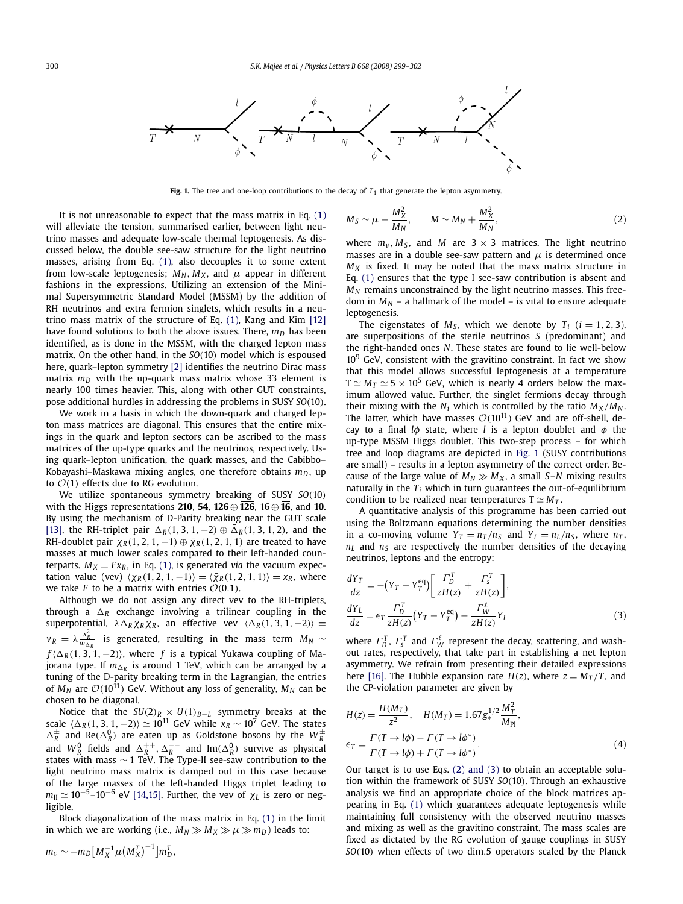<span id="page-1-0"></span>

**Fig. 1.** The tree and one-loop contributions to the decay of  $T_1$  that generate the lepton asymmetry.

It is not unreasonable to expect that the mass matrix in Eq. [\(1\)](#page-0-0) will alleviate the tension, summarised earlier, between light neutrino masses and adequate low-scale thermal leptogenesis. As discussed below, the double see-saw structure for the light neutrino masses, arising from Eq. [\(1\),](#page-0-0) also decouples it to some extent from low-scale leptogenesis;  $M_N$ ,  $M_X$ , and  $\mu$  appear in different fashions in the expressions. Utilizing an extension of the Minimal Supersymmetric Standard Model (MSSM) by the addition of RH neutrinos and extra fermion singlets, which results in a neutrino mass matrix of the structure of Eq. [\(1\),](#page-0-0) Kang and Kim [\[12\]](#page-3-0) have found solutions to both the above issues. There,  $m_D$  has been identified, as is done in the MSSM, with the charged lepton mass matrix. On the other hand, in the *SO(*10*)* model which is espoused here, quark–lepton symmetry [\[2\]](#page-2-0) identifies the neutrino Dirac mass matrix  $m_D$  with the up-quark mass matrix whose 33 element is nearly 100 times heavier. This, along with other GUT constraints, pose additional hurdles in addressing the problems in SUSY *SO(*10*)*.

We work in a basis in which the down-quark and charged lepton mass matrices are diagonal. This ensures that the entire mixings in the quark and lepton sectors can be ascribed to the mass matrices of the up-type quarks and the neutrinos, respectively. Using quark–lepton unification, the quark masses, and the Cabibbo– Kobayashi–Maskawa mixing angles, one therefore obtains  $m_D$ , up to  $\mathcal{O}(1)$  effects due to RG evolution.

We utilize spontaneous symmetry breaking of SUSY *SO(*10*)* with the Higgs representations **210**, **54**, **126** ⊕ **126**, 16 ⊕ **16**, and **10**. By using the mechanism of D-Parity breaking near the GUT scale [\[13\],](#page-3-0) the RH-triplet pair  $\Delta_R(1, 3, 1, -2) \oplus \overline{\Delta}_R(1, 3, 1, 2)$ , and the RH-doublet pair  $\chi_R(1, 2, 1, -1) \oplus \overline{\chi}_R(1, 2, 1, 1)$  are treated to have masses at much lower scales compared to their left-handed counterparts.  $M_X = F x_R$ , in Eq. [\(1\),](#page-0-0) is generated *via* the vacuum expectation value (vev)  $\langle \chi_R(1,2,1,-1) \rangle = \langle \bar{\chi}_R(1,2,1,1) \rangle = x_R$ , where we take *F* to be a matrix with entries  $\mathcal{O}(0.1)$ .

Although we do not assign any direct vev to the RH-triplets, through a  $\Delta_R$  exchange involving a trilinear coupling in the superpotential,  $\lambda \Delta_R \bar{\chi}_R \bar{\chi}_R$ , an effective vev  $\langle \Delta_R(1,3,1,-2) \rangle \equiv$  $v_R = \lambda \frac{x_R^2}{m_{\Delta_R}}$  is generated, resulting in the mass term  $M_N \sim$  $f(\Delta_R(1,3,1,-2))$ , where *f* is a typical Yukawa coupling of Majorana type. If  $m_{\Delta_R}$  is around 1 TeV, which can be arranged by a tuning of the D-parity breaking term in the Lagrangian, the entries of  $M_N$  are  $\mathcal{O}(10^{11})$  GeV. Without any loss of generality,  $M_N$  can be chosen to be diagonal.

Notice that the  $SU(2)_R \times U(1)_{B-L}$  symmetry breaks at the scale  $\langle \Delta_R(1,3,1,-2) \rangle \simeq 10^{11}$  GeV while  $x_R \sim 10^7$  GeV. The states  $\Delta_R^{\pm}$  and Re( $\Delta_R^0$ ) are eaten up as Goldstone bosons by the  $W_R^{\pm}$ <br>and  $W_R^0$  fields and  $\Delta_R^{++}, \Delta_R^{--}$  and  $\text{Im}(\Delta_R^0)$  survive as physical states with mass ∼ 1 TeV. The Type-II see-saw contribution to the light neutrino mass matrix is damped out in this case because of the large masses of the left-handed Higgs triplet leading to  $m_{\text{II}} \simeq 10^{-5}$ –10<sup>-6</sup> eV [\[14,15\].](#page-3-0) Further, the vev of  $\chi_L$  is zero or negligible.

Block diagonalization of the mass matrix in Eq. [\(1\)](#page-0-0) in the limit in which we are working (i.e.,  $M_N \gg M_X \gg \mu \gg m_D$ ) leads to:

$$
M_S \sim \mu - \frac{M_X^2}{M_N}, \qquad M \sim M_N + \frac{M_X^2}{M_N},
$$
 (2)

where  $m_v$ ,  $M_s$ , and  $M$  are  $3 \times 3$  matrices. The light neutrino masses are in a double see-saw pattern and *μ* is determined once  $M_X$  is fixed. It may be noted that the mass matrix structure in Eq. [\(1\)](#page-0-0) ensures that the type I see-saw contribution is absent and  $M_N$  remains unconstrained by the light neutrino masses. This freedom in  $M_N$  – a hallmark of the model – is vital to ensure adequate leptogenesis.

*M*<sup>2</sup>

The eigenstates of  $M_s$ , which we denote by  $T_i$  ( $i = 1, 2, 3$ ), are superpositions of the sterile neutrinos *S* (predominant) and the right-handed ones *N*. These states are found to lie well-below  $10<sup>9</sup>$  GeV, consistent with the gravitino constraint. In fact we show that this model allows successful leptogenesis at a temperature  $T \simeq M_T \simeq 5 \times 10^5$  GeV, which is nearly 4 orders below the maximum allowed value. Further, the singlet fermions decay through their mixing with the  $N_i$  which is controlled by the ratio  $M_X/M_N$ . The latter, which have masses  $O(10^{11})$  GeV and are off-shell, decay to a final *lφ* state, where *l* is a lepton doublet and *φ* the up-type MSSM Higgs doublet. This two-step process – for which tree and loop diagrams are depicted in Fig. 1 (SUSY contributions are small) – results in a lepton asymmetry of the correct order. Because of the large value of  $M_N \gg M_X$ , a small *S*–*N* mixing results naturally in the  $T_i$  which in turn guarantees the out-of-equilibrium condition to be realized near temperatures  $T \simeq M_T$ .

A quantitative analysis of this programme has been carried out using the Boltzmann equations determining the number densities in a co-moving volume  $Y_T = n_T/n_S$  and  $Y_L = n_L/n_S$ , where  $n_T$ ,  $n_l$  and  $n_s$  are respectively the number densities of the decaying neutrinos, leptons and the entropy:

$$
\frac{dY_T}{dz} = -(Y_T - Y_T^{eq}) \left[ \frac{\Gamma_D^T}{zH(z)} + \frac{\Gamma_S^T}{zH(z)} \right],
$$
  
\n
$$
\frac{dY_L}{dz} = \epsilon_T \frac{\Gamma_D^T}{zH(z)} (Y_T - Y_T^{eq}) - \frac{\Gamma_W^{\ell}}{zH(z)} Y_L
$$
\n(3)

where  $\Gamma_D^T$ ,  $\Gamma_s^T$  and  $\Gamma_W^{\ell}$  represent the decay, scattering, and washout rates, respectively, that take part in establishing a net lepton asymmetry. We refrain from presenting their detailed expressions here [\[16\].](#page-3-0) The Hubble expansion rate  $H(z)$ , where  $z = M<sub>T</sub>/T$ , and the CP-violation parameter are given by

$$
H(z) = \frac{H(M_T)}{z^2}, \quad H(M_T) = 1.67 g_*^{1/2} \frac{M_T^2}{M_{\text{Pl}}},
$$
  

$$
\epsilon_T = \frac{\Gamma(T \to l\phi) - \Gamma(T \to \bar{l}\phi^*)}{\Gamma(T \to l\phi) + \Gamma(T \to \bar{l}\phi^*)}.
$$
 (4)

Our target is to use Eqs. (2) and (3) to obtain an acceptable solution within the framework of SUSY *SO(*10*)*. Through an exhaustive analysis we find an appropriate choice of the block matrices appearing in Eq. [\(1\)](#page-0-0) which guarantees adequate leptogenesis while maintaining full consistency with the observed neutrino masses and mixing as well as the gravitino constraint. The mass scales are fixed as dictated by the RG evolution of gauge couplings in SUSY *SO(*10*)* when effects of two dim*.*5 operators scaled by the Planck

$$
m_{\nu} \sim -m_D \big[ M_X^{-1} \mu \big( M_X^T \big)^{-1} \big] m_D^T,
$$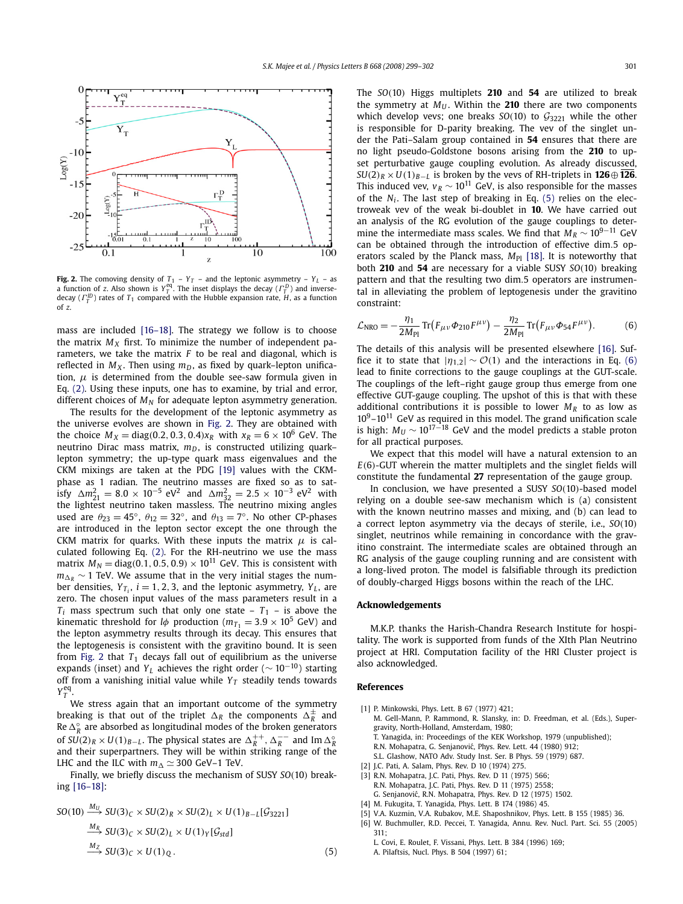<span id="page-2-0"></span>

**Fig. 2.** The comoving density of  $T_1$  –  $Y_T$  – and the leptonic asymmetry –  $Y_L$  – as a function of z. Also shown is  $Y_T^{\text{eq}}$ . The inset displays the decay ( $\Gamma_T^D$ ) and inversedecay (*Γ ID <sup>T</sup>* ) rates of *T*<sup>1</sup> compared with the Hubble expansion rate, *H*, as a function of *z*.

mass are included [\[16–18\].](#page-3-0) The strategy we follow is to choose the matrix  $M_X$  first. To minimize the number of independent parameters, we take the matrix *F* to be real and diagonal, which is reflected in  $M_X$ . Then using  $m_D$ , as fixed by quark–lepton unification,  $\mu$  is determined from the double see-saw formula given in Eq. [\(2\).](#page-1-0) Using these inputs, one has to examine, by trial and error, different choices of  $M_N$  for adequate lepton asymmetry generation.

The results for the development of the leptonic asymmetry as the universe evolves are shown in Fig. 2. They are obtained with the choice  $M_X = \text{diag}(0.2, 0.3, 0.4)x_R$  with  $x_R = 6 \times 10^6$  GeV. The neutrino Dirac mass matrix,  $m_D$ , is constructed utilizing quark– lepton symmetry; the up-type quark mass eigenvalues and the CKM mixings are taken at the PDG [\[19\]](#page-3-0) values with the CKMphase as 1 radian. The neutrino masses are fixed so as to satisfy  $\Delta m_{21}^2 = 8.0 \times 10^{-5} \text{ eV}^2$  and  $\Delta m_{32}^2 = 2.5 \times 10^{-3} \text{ eV}^2$  with the lightest neutrino taken massless. The neutrino mixing angles used are  $\theta_{23} = 45^\circ$ ,  $\theta_{12} = 32^\circ$ , and  $\theta_{13} = 7^\circ$ . No other CP-phases are introduced in the lepton sector except the one through the CKM matrix for quarks. With these inputs the matrix *μ* is calculated following Eq. [\(2\).](#page-1-0) For the RH-neutrino we use the mass matrix  $M_N = \text{diag}(0.1, 0.5, 0.9) \times 10^{11}$  GeV. This is consistent with  $m_{\Delta R}$  ~ 1 TeV. We assume that in the very initial stages the number densities,  $Y_{T_i}$ ,  $i = 1, 2, 3$ , and the leptonic asymmetry,  $Y_L$ , are zero. The chosen input values of the mass parameters result in a  $T_i$  mass spectrum such that only one state –  $T_1$  – is above the kinematic threshold for *l* $\phi$  production ( $m_{T_1} = 3.9 \times 10^5$  GeV) and the lepton asymmetry results through its decay. This ensures that the leptogenesis is consistent with the gravitino bound. It is seen from Fig. 2 that  $T_1$  decays fall out of equilibrium as the universe expands (inset) and *YL* achieves the right order (∼ <sup>10</sup><sup>−</sup>10) starting off from a vanishing initial value while  $Y_T$  steadily tends towards  $Y_T^{\text{eq}}$ .

We stress again that an important outcome of the symmetry breaking is that out of the triplet  $\Delta_R$  the components  $\Delta_R^{\pm}$  and Re  $\Delta_R^\circ$  are absorbed as longitudinal modes of the broken generators of  $SU(2)_R \times U(1)_{B-L}$ . The physical states are  $\Delta_R^{++}$ ,  $\Delta_R^{--}$  and Im  $\Delta_R^{\circ}$ and their superpartners. They will be within striking range of the LHC and the ILC with  $m_{\Delta} \simeq 300$  GeV–1 TeV.

Finally, we briefly discuss the mechanism of SUSY *SO(*10*)* breaking [\[16–18\]:](#page-3-0)

$$
SO(10) \xrightarrow{M_U} SU(3)_C \times SU(2)_R \times SU(2)_L \times U(1)_{B-L}[\mathcal{G}_{3221}]
$$
  
\n
$$
\xrightarrow{M_R} SU(3)_C \times SU(2)_L \times U(1)_Y[\mathcal{G}_{std}]
$$
  
\n
$$
\xrightarrow{M_Z} SU(3)_C \times U(1)_Q.
$$
 (5)

The *SO(*10*)* Higgs multiplets **210** and **54** are utilized to break the symmetry at  $M_U$ . Within the **210** there are two components which develop vevs; one breaks  $SO(10)$  to  $G_{3221}$  while the other is responsible for D-parity breaking. The vev of the singlet under the Pati–Salam group contained in **54** ensures that there are no light pseudo-Goldstone bosons arising from the **210** to upset perturbative gauge coupling evolution. As already discussed,  $SU(2)_R \times U(1)_{R-I}$  is broken by the vevs of RH-triplets in **126** $\oplus$  **126**. This induced vev,  $v_R \sim 10^{11}$  GeV, is also responsible for the masses of the  $N_i$ . The last step of breaking in Eq. (5) relies on the electroweak vev of the weak bi-doublet in **10**. We have carried out an analysis of the RG evolution of the gauge couplings to determine the intermediate mass scales. We find that  $M_R \sim 10^{9-11}$  GeV can be obtained through the introduction of effective dim*.*5 operators scaled by the Planck mass,  $M_{\text{Pl}}$  [\[18\].](#page-3-0) It is noteworthy that both **210** and **54** are necessary for a viable SUSY *SO(*10*)* breaking pattern and that the resulting two dim*.*5 operators are instrumental in alleviating the problem of leptogenesis under the gravitino constraint:

$$
\mathcal{L}_{\text{NRO}} = -\frac{\eta_1}{2M_{\text{Pl}}} \text{Tr} \left( F_{\mu\nu} \Phi_{210} F^{\mu\nu} \right) - \frac{\eta_2}{2M_{\text{Pl}}} \text{Tr} \left( F_{\mu\nu} \Phi_{54} F^{\mu\nu} \right). \tag{6}
$$

The details of this analysis will be presented elsewhere [\[16\].](#page-3-0) Suffice it to state that  $|\eta_{1,2}| \sim \mathcal{O}(1)$  and the interactions in Eq. (6) lead to finite corrections to the gauge couplings at the GUT-scale. The couplings of the left–right gauge group thus emerge from one effective GUT-gauge coupling. The upshot of this is that with these additional contributions it is possible to lower  $M_R$  to as low as  $10^9$ – $10^{11}$  GeV as required in this model. The grand unification scale is high:  $M_U \sim 10^{17-18}$  GeV and the model predicts a stable proton for all practical purposes.

We expect that this model will have a natural extension to an *E(*6*)*-GUT wherein the matter multiplets and the singlet fields will constitute the fundamental **27** representation of the gauge group.

In conclusion, we have presented a SUSY *SO(*10*)*-based model relying on a double see-saw mechanism which is (a) consistent with the known neutrino masses and mixing, and (b) can lead to a correct lepton asymmetry via the decays of sterile, i.e., *SO(*10*)* singlet, neutrinos while remaining in concordance with the gravitino constraint. The intermediate scales are obtained through an RG analysis of the gauge coupling running and are consistent with a long-lived proton. The model is falsifiable through its prediction of doubly-charged Higgs bosons within the reach of the LHC.

# **Acknowledgements**

M.K.P. thanks the Harish-Chandra Research Institute for hospitality. The work is supported from funds of the XIth Plan Neutrino project at HRI. Computation facility of the HRI Cluster project is also acknowledged.

## **References**

- [1] P. Minkowski, Phys. Lett. B 67 (1977) 421;
	- M. Gell-Mann, P. Rammond, R. Slansky, in: D. Freedman, et al. (Eds.), Supergravity, North-Holland, Amsterdam, 1980;
	- T. Yanagida, in: Proceedings of the KEK Workshop, 1979 (unpublished); R.N. Mohapatra, G. Senjanović, Phys. Rev. Lett. 44 (1980) 912;
	- S.L. Glashow, NATO Adv. Study Inst. Ser. B Phys. 59 (1979) 687.
- [2] J.C. Pati, A. Salam, Phys. Rev. D 10 (1974) 275.
- [3] R.N. Mohapatra, J.C. Pati, Phys. Rev. D 11 (1975) 566;
- R.N. Mohapatra, J.C. Pati, Phys. Rev. D 11 (1975) 2558; G. Senjanovic, R.N. Mohapatra, Phys. Rev. D 12 (1975) 1502. ´
- [4] M. Fukugita, T. Yanagida, Phys. Lett. B 174 (1986) 45.
- [5] V.A. Kuzmin, V.A. Rubakov, M.E. Shaposhnikov, Phys. Lett. B 155 (1985) 36. [6] W. Buchmuller, R.D. Peccei, T. Yanagida, Annu. Rev. Nucl. Part. Sci. 55 (2005) 311;
	- L. Covi, E. Roulet, F. Vissani, Phys. Lett. B 384 (1996) 169; A. Pilaftsis, Nucl. Phys. B 504 (1997) 61;